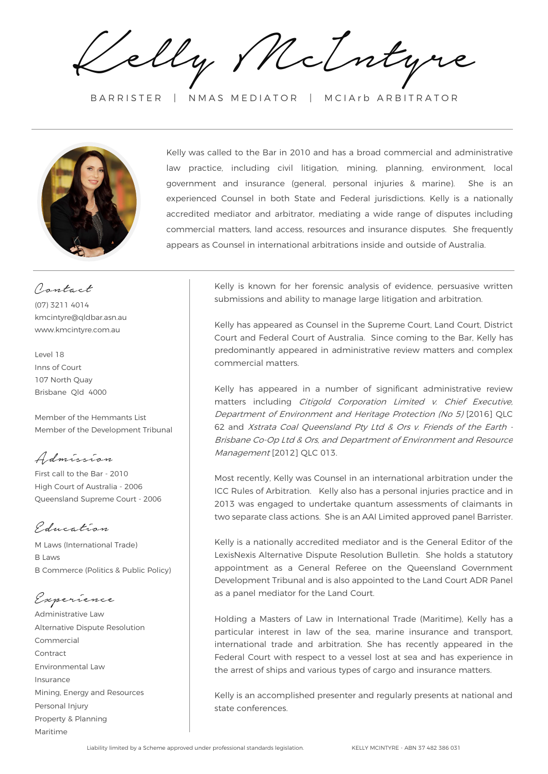Kelly McIntyre

BARRISTER | NMAS MEDIATOR | MCIArb ARBITRATOR



Kelly was called to the Bar in 2010 and has a broad commercial and administrative law practice, including civil litigation, mining, planning, environment, local government and insurance (general, personal injuries & marine). She is an experienced Counsel in both State and Federal jurisdictions. Kelly is a nationally accredited mediator and arbitrator, mediating a wide range of disputes including commercial matters, land access, resources and insurance disputes. She frequently appears as Counsel in international arbitrations inside and outside of Australia.

Contact (07) 3211 4014 kmcintyre@qldbar.asn.au www.kmcintyre.com.au

## Level 18 Inns of Court 107 North Quay Brisbane Qld 4000

Member of the Hemmants List Member of the Development Tribunal

Admission

First call to the Bar - 2010 High Court of Australia - 2006 Queensland Supreme Court - 2006

Education

M Laws (International Trade) B Laws B Commerce (Politics & Public Policy)

Experience

Administrative Law Alternative Dispute Resolution Commercial Contract Environmental Law Insurance Mining, Energy and Resources Personal Injury Property & Planning Maritime

Kelly is known for her forensic analysis of evidence, persuasive written submissions and ability to manage large litigation and arbitration.

Kelly has appeared as Counsel in the Supreme Court, Land Court, District Court and Federal Court of Australia. Since coming to the Bar, Kelly has predominantly appeared in administrative review matters and complex commercial matters.

Kelly has appeared in a number of significant administrative review matters including Citigold Corporation Limited v. Chief Executive, Department of Environment and Heritage Protection (No 5) [2016] QLC 62 and Xstrata Coal Queensland Pty Ltd & Ors v. Friends of the Earth - Brisbane Co-Op Ltd & Ors, and Department of Environment and Resource Management [2012] QLC 013.

Most recently, Kelly was Counsel in an international arbitration under the ICC Rules of Arbitration. Kelly also has a personal injuries practice and in 2013 was engaged to undertake quantum assessments of claimants in two separate class actions. She is an AAI Limited approved panel Barrister.

Kelly is a nationally accredited mediator and is the General Editor of the LexisNexis Alternative Dispute Resolution Bulletin. She holds a statutory appointment as a General Referee on the Queensland Government Development Tribunal and is also appointed to the Land Court ADR Panel as a panel mediator for the Land Court.

Holding a Masters of Law in International Trade (Maritime), Kelly has a particular interest in law of the sea, marine insurance and transport, international trade and arbitration. She has recently appeared in the Federal Court with respect to a vessel lost at sea and has experience in the arrest of ships and various types of cargo and insurance matters.

Kelly is an accomplished presenter and regularly presents at national and state conferences.